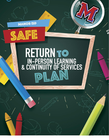

AFE

ನಿ

# RETURN TO IN-PERSON LEARNING<br>& CONTINUITY OF SERVICES

O,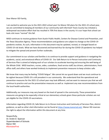

Dear Manor ISD Family,

I am excited to welcome you to the 2021-2022 school year! As Manor ISD plans for the 2021-22 school year, we are committed to keeping all members of our community well informed! Travis County has initiated a widespread vaccination effort that has resulted in 70% first doses in the county. It is our hope that school can look a bit more "normal" this fall.

MISD continues to receive guidance from Austin Public Health, Centers for Disease Control and Prevention, and the Texas Education Agency. These recommendations and guidance are subject to change as the COVID-19 pandemic evolves. As such, information in this document may be updated, revised, or changed based on COVID-19 risk levels. What we have discovered and learned thus far during the COVID-19 pandemic has helped to mitigate the spread and prevent further outbreaks.

Our commitment to our scholars and families is to continue to provide support and guidance in navigating the academic, social, and emotional effects of COVID-19. Our Safe Return to In-Person Instruction and Continuity of Services Plan is aimed at helping each of our scholars to accelerate learning and ensuring the well-being of the Whole Child. MISD teachers, nurses, aides, custodians, food service staff, bus drivers, administrators, front office staff, and others have worked tirelessly to implement prevention measures to keep scholars safe.

We know that many may be feeling "COVID fatigue". We cannot let our guard down and we must continue to be vigilant because COVID-19 is still prevalent in our community. We understand that the operational and prevention measures for the 2021-22 school year may look different, and we want to reassure you that we will continue to practice and use the preventative measures as well as implement any new recommendations from the local health authorities.

Additionally, our measures may vary based on the level of spread in the community. These preventative measures are going to be especially critical at our elementary schools given these particular scholars are not yet eligible for the COVID-19 vaccinations.

Information regarding COVID-19, Safe Return to In-Person Instruction and Continuity of Services Plan, district guidance, as well as other vital information can be found at [https://www.manorisd.net/.](https://www.manorisd.net/) Manor ISD reserves the right to adjust the information within this document at any time.

Respectfully, Dr. André D. Spencer Superintendent of Schools Manor ISD #ScholarsFirst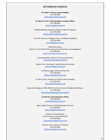### **KEY POINTS OF CONTACTS**

**Dr. André D. Spencer, Superintendent** 512-278-4002 [Andre.Spencer@manorisd.net](mailto:Andre.Spencer@manorisd.net)

**Dr. Tajah M. Gross, Chief Equitable Innovation Officer** 512-278-4074 [Tajah.Gross@manorisd.net](mailto:Tajah.Gross@manorisd.net)

Michele McKinley, Executive Director of Special Programs 512-278-4400 [Michele.McKinley@manorisd.net](mailto:Michele.McKinley@manorisd.net)

Erica Hill, Director of College, Career, and Military Readiness 512-278-4454 [Erica.Hill@manorisd.net](mailto:Erica.Hill@manorisd.net)

Mayra Hernandez, Director of The Whole Child, Community Partnerships, and Engagement 512-278-4462 [Mayra.Hernandez@manorisd.net](mailto:Mayra.Hernandez@manorisd.net)

> Anastasia Mirelez, Director of Truancy Prevention [anastasia.mirelez@manorisd.net](mailto:anastasia.mirelez@manorisd.net)

Ramon Diaz, Coordinator- Social Emotional Learning [Ramon.Diaz@manorisd.net](mailto:Ramon.Diaz@manorisd.net)

> Dr. Bethany Logan, Director of Fine Arts 512-278-4433 [Bethany.Logan@manorisd.net](mailto:Bethany.Logan@manorisd.net)

Dr. Oscar Garcia, Director of Guidance and Counseling 512-278-4452 [Oscar.Garcia@manorisd.net](mailto:Oscar.Garcia@manorisd.net)

Diana Rios-Rodriguez, MSN, BSN, RN, Interim Director of Health and Wellness 512-278-4093 [Diana.Riosrodriguez@manorisd.net](mailto:Diana.Riosrodriguez@manorisd.net)

> **Joe Mendez, Chief Operations Officer** 512-278-4016 [Joe.Mendez@manorisd.net](mailto:Jose.Mendez@manorisd.net)

Ryan Cengel, Director of Food & Nutrition Services 512-278-4081 [Ryan.Cengel@manorisd.net](mailto:Ryan.Cengel@manorisd.net)

> Director of Transportation Point of Contact: James McDonald 512-278-4084 [James.McDonald@manorisd.net](mailto:James.McDonald@manorisd.net)

Anthony Swain, Director of Athletics 512-278-4820 [Anthony.Swain@manorisd.net](mailto:Anthony.Swain@manorisd.net)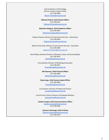Interim Director of Technology Point of Contact: Wayne Fulton 512-278-4990 [Wayne.Fulton@manorisd.net](mailto:Wayne.Fulton@manorisd.net)

**Michael Perkins, Chief Schools Officer** 512-278-4421 [Michael.Perkins@manorisd.net](mailto:Michael.Perkins@manorisd.net)

**Alejandro Góngora, Chief Academics Officer** 512-278-4467 [Alejandro.Gongora@manorisd.net](mailto:Alejandro.Gongora@manorisd.net)

Shawna Clouser, Director of Instructional Services - Elementary 512-278-4034 [Shawna.Clouser@manorisd.net](mailto:Shawna.Clouser@manorisd.net)

Valerie Torres-Solis, Director of Instructional Services - Secondary 512-278-4469 [Valerie.TorresSolis@manorisd.net](mailto:Valerie.TorresSolis@manorisd.net)

Darrell Baty, Executive Director of Research, Data, and Accountability 512-278-4973 [Darrell.Baty@manorisd.net](mailto:Daryl.Baty@manorisd.net)

> Erica Galindo, Director of Multilingual Education 512-278-4457 [Erica.Galindo@manorisd.net](mailto:Erica.Galindo@manorisd.net)

> > **Jeff Solomon, Chief Financial Officer** 512-278-4020 [Jeff.Solomon@manorisd.net](mailto:Jeff.Solomon@manorisd.net)

**Cleota Epps, Chief Human Capital Officer** 512-278-4000 [Cleota.Epps@manorisd.net](mailto:Cleota.Epps@manorisd.net)

Luis Guevara, Director of People and Culture [Luis.Guevara@manorisd.net](mailto:Luis.Guevara@manorisd.net)

Laura Krcmar, Interim Director of Employee Relations [Laura.Krcmar@manorisd.net](mailto:Laura.Krcmar@manorisd.net)

**Candice Cooper, Chief Communications Officer** [Candice.Cooper@manorisd.net](mailto:Candice.Cooper@manorisd.net) 512-278-4456

> **Clarence Yarbrough, Chief of Police** [Clarence.Yarbrough@manorisd.net](mailto:Clarence.Yarbrough@manorisd.net) 512-278-4379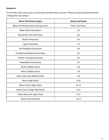# **Academics**

For the 2021-2022 school year, all instruction will take place in person. Please see specific grade level band configurations by campus:

| <b>Manor ISD School Campus</b>         | <b>Grade Level Bands</b> |
|----------------------------------------|--------------------------|
| Manor Elementary Early Learning Center | PreK 3 and PreK 4        |
| <b>Blake Manor Elementary</b>          | $K-6$                    |
| <b>Bluebonnet Trail Elementary</b>     | $K-6$                    |
| Decker Elementary                      | $K-6$                    |
| Lagos Elementary                       | $K-5$                    |
| Oak Meadows Elementary                 | $K-6$                    |
| Presidential Meadows Elementary        | $K-5$                    |
| <b>Pioneer Crossing Elementary</b>     | $K-6$                    |
| ShadowGlen Elementary                  | $K-5$                    |
| Decker Middle School                   | $6 - 8$                  |
| <b>Manor Middle School</b>             | $7 - 8$                  |
| Manor New Tech Middle School           | $6 - 8$                  |
| Manor High School                      | $9 - 10$                 |
| Manor Senior High School               | $11 - 12$                |
| Manor Early College High School        | $9 - 12$                 |
| Manor New Tech High School             | $9 - 12$                 |
| Manor Excel Academy                    | $10 - 12$                |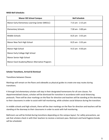### **MISD Bell Schedules**

| <b>Manor ISD School Campus</b>                 | <b>Bell Schedule</b>  |
|------------------------------------------------|-----------------------|
| Manor Early Elementary Learning Center (MEELC) | 7:15 am - 2:15 pm     |
| <b>Elementary Schools</b>                      | 7:30 am - 3:00 pm     |
| Middle Schools                                 | $8:25$ am $-3:55$ pm  |
| Manor New Tech High School                     | $8:25$ am - $3:55$ pm |
| Manor High School                              | $9:15$ am $-$ 4:50 pm |
| Manor Early College High School                |                       |
| Manor Senior High School                       |                       |
| Manor Excel Academy/Manor Alternative Program: |                       |

### **Scholar Transitions, Arrival & Dismissal**

### **Transitions between Classes**

Markings will remain on the floors and sidewalks as physical guides to create one-way routes during transitions.

K through 2nd elementary scholars will stay in their designated homerooms for all core classes. For departmentalized classes, scholars will be dismissed for transition in accordance with social distancing protocols. There will be clear markings on the floor for direction and teachers will be standing at the doorway to their classrooms in order to assist with hall monitoring, while scholars social distance during the transition.

In middle schools and high schools, there will be clear markings on the floor for direction and teachers will be standing at the doorway to their classrooms in order to assist with hall monitoring.

Bathroom use will be limited during transitions depending on the campus layout. For safety precautions, we ask that scholars check in with their teachers to receive a restroom pass. Restroom and hand hygiene breaks will be scheduled.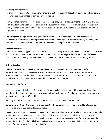# **Entering/Exiting Schools**

To protect scholars' safety all scholars will enter and exit each building through limited entry and exit points, depending on their transportation for arrival and dismissal.

Family members should not leave their vehicles when picking up or dropping off scholars during arrival and dismissal. Family members will be allowed in the building with prior approval from campus administration. Family members will not be allowed to eat with their scholars due to lack of vaccine availability among our elementary scholars.

We strongly encourage parents and guardians to schedule virtual meetings with their teachers and administrators for safety. Parents/guardians may schedule meetings with administrators by contacting the front office at their respective school campus to schedule an in person appointment.

# **Dismissal Protocol**

Scholars will have a staggered release to ensure social distancing protocols are followed. Car riders and walkers will be dismissed first. All parents must remain in their vehicles during car rider dismissal. No one will be allowed into the building until all scholars have been dismissed. Bus riders will be dismissed by route.

### **School Supplies**

School supplies should and will not be shared with other scholars to prevent the spread and/or cross-contamination. If scholars are rotating through stations, scholars should be provided with the opportunity to sanitize their hands prior to moving onto the next station. Scholars may also bring their own hand sanitizer if they have a sensitivity to the district-provided sanitizer.

### **Attendance and Grades**

[2021-2022 Academic Calendar:](https://www.manorisd.net/site/default.aspx?PageType=3&DomainID=4&ModuleInstanceID=1600&ViewID=6446EE88-D30C-497E-9316-3F8874B3E108&RenderLoc=0&FlexDataID=11069&PageID=1) The Academic Calendar includes the number of instructional days/minutes, grading periods, assessment dates, and scholar and staff holiday dates. Scholars are expected to attend school at an attendance rate of 90% or higher.

Grading policies are located on each school campus website in the Student Handbook.

All scholars must report to campus and be present in the building in order to be counted for attendance. *There is no longer a remote attendance option.*

Manor ISD also continues to await guidance from TEA on attendance coding for scholars that are directed to be quarantined by the school district in accordance with Austin Public Health Guidelines. Scholars who are directed to quarantine due to COVID-19 will participate in asynchronous instruction for the duration of the quarantine period. Scholars will also access instruction and assignments through their Learning Management System (SeeSaw, Google Classroom, or ECHO).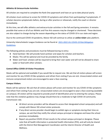# **Athletics & Extracurricular Activities**

All scholars are required to complete the Rank One paperwork and have an up-to-date physical yearly.

All scholars must continue to screen for COVID-19 symptoms and refrain from participating if symptomatic. If scholars become symptomatic before, during or after practice or rehearsals, notify the coach or director immediately.

At this time, we will offer athletics and extracurricular activities in the Fall and Spring semesters. It remains possible that some or all of our Athletic and Fine Arts seasons may be changed or shortened. These decisions are also subject to change during the season depending on the status of COVID-19 in our state and region.

Due to the continued COVID 19 pandemic, Manor ISD will continue to utilize an *online ticket* sales platform.

University Interscholastic League Guidance can be found at [2021-2022 UIL COVID-19 Risk Mitigation](https://www.uiltexas.org/policy/2021-22-policy-info/2021-2022-uil-risk-mitigation-guidelines) [Guidelines](https://www.uiltexas.org/policy/2021-22-policy-info/2021-2022-uil-risk-mitigation-guidelines).

The following policies and procedures must be followed during re-entry:

- Hand Sanitizer: We will provide hand sanitizer and wipes for scholars and teachers.
- Masks: This will be optional and must be provided by the family.
- Water and Food: scholars will be required to bring their own water and will not be allowed to share water or food with other scholars.

### **Central Office COVID-19 Visitor Procedures**

Masks will be optional and available if you would like to request one. We ask that all visitors please self-screen and monitor for any COVID-19 like symptoms and refrain from visiting if you are sick. Unvaccinated visitors and immune compromised visitors are encouraged to wear a face covering.

### **Campus Visitors**

Masks will be optional. We ask that all visitors please self-screen and monitor for any COVID-19 like symptoms and refrain from visiting if you are sick. Unvaccinated visitors are encouraged to wear a face-covering (available on campus). All visitors will be required to provide proof of identification prior to entering the campus. Please note that the visitation guidance may change should there be a moderate to high COVID-19 community transmission rate.

- All direct service providers will be allowed to access their designated school campus(es) and will comply with Manor ISD school visitor protocols.
- If any direct service provider should begin to exhibit signs or symptoms during their time on campus, we ask that they notify the school campus principal or designee and leave the school premises immediately.
- Report any positive COVID-19 test results to the school campus principal or designee. Please note that all health information is protected health information (PHI), and will only be shared with the District Risk Management Coordinator and the Interim Director of Health and Wellness.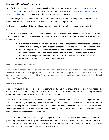### **Mentors and Volunteers Campus Visits**

Until further notice, mentors and volunteers will not be permitted to visit or assist on campuses. Manor ISD will continue to monitor the level of spread in the community and will utilize the [Austin Public Health](https://www.austintexas.gov/page/covid-19-risk-based-guidelines) Risk [Based Guidelines](https://www.austintexas.gov/page/covid-19-risk-based-guidelines) and will resume visits when the community is in Stage 2.

All volunteers, mentors, and student interns must submit an application and complete a background check in accordance with the guidance set forth by the Manor ISD Police Department.

Each school campus Parent Liaison will communicate and notify the volunteer once their application is approved.

The use of masks will be optional. Unvaccinated volunteers are encouraged to wear a face covering. We also ask that all volunteers please self-screen and monitor for any COVID-19 like symptoms and refrain from visiting if they are sick.

- If a mentor/volunteer should begin to exhibit signs or symptoms during their time on campus, we ask that they notify the campus administrator and leave the school premises immediately.
- Report any positive COVID-19 test results to the campus administrator. Please note that all health information is protected health information (PHI), and will only be shared with the District Risk Management Coordinator and the Interim Director of Health and Wellness.
- Mentor visits will remain virtual until further notice.

### **MISD Continuity of Services Plan**

Manor ISD will continue to provide wrap-around services for all scholars and staff who are in need of Health, Wellness, Mental Health Support, and/or referral to additional support services through mental health community agencies and partnerships. Comprehensive health services will also continue to be offered through the Manor Mustang Clinic.

### **Health & Wellness**

Manor ISD would like to encourage all scholars who are twelve years of age and older to get vaccinated. The COVID-19 vaccine is not a requirement to return to school. It is recommended due to it being the leading public health prevention strategy to end the COVID-19 pandemic.

Masks will be optional for scholars and staff this coming school year and this poses new challenges with the fall flu season potentially complicating the identification of COVID-19 cases. Our scholars and staff will continue to monitor for symptoms and are asked to remain at home if they should have any COVID-19 like symptoms. The Health and Wellness Department will continue to work diligently to ensure that all of our scholars and staff are safe and healthy while in school and at work.

Please note that if your scholar is visiting the campus nurse, they will be asked to wear a mask as a means of protecting themselves from any potentially infectious illness such as flu, the common cold, and/or COVID-19. As you are aware the symptoms of COVID-19 are similar to the allergies, colds, and flu, thus we want to ensure the safety of our scholars when they are in the health office.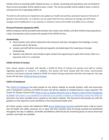Scholars that are receiving health related services; i.e. dental, counseling and evaluations, but not limited to these services provided, will be asked to wear a mask. The service provider will be asked to wear a mask to minimize the risk of spreading COVID-19.

The district will continue to implement and update our health and wellness protocols based on the level of spread in the community. As a district, we are aware that the virus continues to change and with these changes come modifications in our practice in schools to ensure the health and safety of our scholars.

# **Personal Protective Equipment (PPE)**

School campuses will be provided hand sanitizer, face masks, face shields, and desk shields (sneeze guards) as a layer of protection and to prevent the spread of the COVID-19 virus.

# **Handwashing**

- Hand sanitizer units will be stationed at the entrances and exits, throughout the buildings, in every classroom and on the buses.
- scholars and staff will be instructed and regularly reminded about the importance of proper handwashing.
- Teachers may allow for more breaks to give scholars the opportunity to wash their hands, either at a classroom sink or in a restroom

# **COVID-19 Point of Contact**

Each school campus principals will identify a COVID-19 Point of Contact for parents and staff to contact regarding questions or concerns. In addition, this person will work closely with the nurse, communicate concerns and lessons learned related to COVID-19 contact tracing, preventive activities and response. You may access the list here: [COVID-19 Point of Contact](https://docs.google.com/spreadsheets/d/12A7eo5WMbOwjKSgqIQKbh-Rmx_ldsRE8yU4-lYtsa0Y/edit?usp=sharing).

# **COVID-19 Dashboard**

The COVID-19 [Dashboard](https://www.manorisd.net/Page/6257) has been posted on the district website to provide families, staff, and community with a transparent summary of COVID-19 cases and will be updated as needed based on cases reported. The Center for Disease Control (CDC) What to do if a Student Becomes Sick or Reports a New [COVID-19](https://www.cdc.gov/coronavirus/2019-ncov/community/schools-childcare/student-becomes-sick-diagnosis-flowchart.html) Diagnosis at [School](https://www.cdc.gov/coronavirus/2019-ncov/community/schools-childcare/student-becomes-sick-diagnosis-flowchart.html) (Qué hacer si un estudiante se enferma en la escuela o notifica un [diagnóstico](https://espanol.cdc.gov/coronavirus/2019-ncov/community/schools-childcare/student-becomes-sick-diagnosis-flowchart.html) nuevo de COVID-19) document has been provided and is posted on the district website. This document will provide you with the guidance on the steps the nurses will follow in the school based health clinic.

All school campus nurses will implement MISD Nurse [Walkthrough](https://docs.google.com/document/d/13Lyz3ugMcxhjt5nsYPVxNTh7i2s7B9uzM6Y40M3V_vY/edit?usp=sharing) Checklist protocols twice a day to ensure that all health and safety measures are in place and that common areas are being sanitized and disinfected throughout the day. In addition, all Health and Wellness staff will also be monitoring buses to ensure that hand sanitizer and masks are available.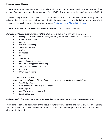### **Prescreening and Testing**

Parents must ensure they do not send their scholar(s) to school on campus if they have a temperature of 100 degrees Fahrenheit or greater if they have any of the COVID-19 symptoms or are lab-confirmed with COVID-19.

A Prescreening Attestation Document has been included with the school enrollment packet for parents to acknowledge that they have read and agreed with the document. Click on the link to see a copy of this document that can be found in Skyward Family Access [Pre Screening for Manor ISD scholars.](https://docs.google.com/document/d/14YjEwkD85SxGrT9HJjnBNG7koRTM4iml_CxCp1ZexjU/edit?usp=sharing)

Parents are required to *pre-screen* their child(ren) every day for COVID-19 symptoms.

*Has your child begun experiencing any of the following in a way that is not normal for them?*

- *● Feeling feverish or a measured temperature greater than or equal to 100 degrees F*
- *● Loss of taste or smell*
- *● Cough*
- *● Difficulty breathing*
- *● Shortness of breath*
- *● Fatigue*
- *● Headache*
- *● Chills*
- *● Sore throat*
- *● Congestion or runny nose*
- *● Shaking or exaggerated shivering*
- *● Significant muscle pain or ache*
- *● Diarrhea*
- *● Nausea or vomiting*

### *Emergency Warning Signs*

*If someone is showing any of these signs, seek emergency medical care immediately:*

- *● Trouble breathing*
- *● Persistent pain or pressure in the chest*
- *● New confusion*
- *● Inability to wake or stay awake*
- *● Bluish lips or face*

### *Call your medical provider immediately for any other symptoms that are severe or concerning to you.*

If any scholar begins to display any of the above symptoms we will contact the parent or guardian to pick up the scholar. The scholar will be cleared to return once evaluated by their primary care provider and a medical clearance is obtained.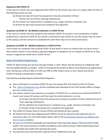# *Diagnosed with COVID-19*

In the case of a scholar who was diagnosed with COVID-19, the scholar may return to campus when all three of the following criteria are met:

- (a) At least one day (24 hours) has passed since recovery (resolution of fever without the use of fever-reducing medications);
- (b) The scholar has improvement in symptoms (e.g., cough, shortness of breath); and
- (c) At least ten days have passed since symptoms first appeared.

# *Symptoms of COVID-19 - No Medical evaluation or COVID-19 Test*

In the case of a scholar who has symptoms that could be COVID-19 and who is not evaluated by a medical professional or tested for COVID-19, the scholar is assumed to have COVID-19, and the scholar may not return to the campus until the scholar has completed the same three-step set of criteria listed above.

# *Symptoms of COVID-19 - Medical Evaluation or COVID-19 Test*

If the scholar has symptoms that could be COVID-19 and wants to return to campus they can return early if they receive a doctor's note stating an alternate diagnosis or symptoms are not related to COVID-19, or they receive a negative test result from a COVID-19 test.

# **[Manor ISD COVID-19 Rapid Testing](https://www.manorisd.net/domain/1767)**

COVID-19 Rapid Testing will continue through October 3, 2021. Manor ISD will continue to collaborate with TEA and update families as needed. COVID-19 testing will be located at Manor Excel Academy by appointment only. Testing hours will be 9 AM to 12 PM and 1PM to 3PM. Please remain in your vehicle and call the COVID-19 testing curbside phone number.

**Case Review and Reporting for School-Based Exposure**

- Upon notification of a positive COVID-19 case, the campus POC will notify the Chief of Schools.
- The [COVID-19 Reporting Form](https://forms.gle/xhr7YUNLktaNY6M36) will be completed and submitted to the Chief Schools Officer to begin the case review process.
- Any scholar noted to have exposure or symptoms of COVID-19, or a positive test confirmed COVID-19 result, must remain off campus until they meet the criteria below for re-entry:

(a) At least one day (24 hours) has passed since recovery (resolution of fever without the use of fever-reducing medications);

- (b) The individual has improvement in symptoms (e.g., cough, shortness of breath); and
- (c) At least 10 days have passed since symptoms first appeared.
- The COVID-19 Campus Point of Contact (CPOC) will identify all close contacts
- *All athletes that have been diagnosed with COVID-19 must be cleared by their physician prior to returning to play. For more information, please refer to the [UIL Physician Clearance for Athletics and](https://www.uiltexas.org/policy/2021-22-policy-info/2021-2022-uil-risk-mitigation-guidelines) [Marching Band](https://www.uiltexas.org/policy/2021-22-policy-info/2021-2022-uil-risk-mitigation-guidelines) website.*
- *● All cases are reviewed individually and reported per Texas Education Agency (TEA) and Austin Public Health.* The Interim Director of Health and Wellness will notify the Austin Public Health Department and complete the weekly TEA reporting document.
- Any person(s) who may have been exposed will be notified the same day.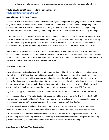● The district will follow primary care physician guidance for when a scholar may return to school.

### **COVID-19 Additional Guidance, Information and Resources**

# **[COVID-19 Information from the CDC](https://www.cdc.gov/coronavirus/2019-ncov/community/schools-childcare/k-12-guidance.html)**

### **Mental Health & Wellness Support**

All scholars may face additional stress and anxiety during this time period, and going back to school in the fall may raise some unexpected health issues. Teachers and support staff will be trained in recognizing mental health issues in both in-person and distance learning contexts. In addition, counselors will be providing "Trauma-Informed Classroom" training and ongoing support for staff at campus monthly faculty meetings.

Throughout the year, counselors will review, model, and teach innovative trauma-informed strategies for staff to use the most effective tools. These will include creating a safe environment, meeting scholars where they are, and maintaining a clear, predictable routine to provide a sense of stability. Counselors will focus on an inclusive community by continuing to participate in "No Place for Hate" in partnership with ADL Austin.

Scholar guidance and counseling lessons will focus on having a growth mindset and practicing self-efficacy, which will help scholars develop confidence in the ability to exert control over one's own motivation, behavior, and social environment. If a scholar needs additional support, the campus counselors will provide support and /or refer to mental health service providers within the district.

# **Specialized Programs**

Every scholar with a disability is entitled to a free appropriate public education. Scholars receiving services through Section 504/Dyslexia or Special Education will receive the same access to high quality services as their peers without disabilities. All instructional and related services through special education will return to face-to-face instruction and learning. Manor ISD will provide special education and related services to scholars in accordance with their individualized education program (IEP). For any scholar in which this is not possible due to medical or health reasons, a contingency plan will be considered through an ARD Committee.

If you need a copy of your scholar's most recent IEP, please contact your school campus's ARD Facilitator.

For scholars entitled to FAPE under Section 504, services will be provided consistent with their Section 504 Individual Accommodation Plan (IAP). Dyslexia services will return to face-to-face instruction. For a copy of your scholar's Section 504 plan, contact your school campus Section 504 Coordinator.

All campuses will have the ability and option to continue ARD Committee and Section 504 Committee Meetings through virtual/remote meetings unless a parent requests and requires a face-to-face meeting.

ARD or Section 504 committee members who will meet face-to-face must complete and pass a COVID-19 pre-screening before attending a face-to-face meeting. If a committee member does not pass the screening process, the meeting will be rescheduled or transitioned to a virtual/remote meeting.

# *Maintenance of Safe and Healthy Facilities*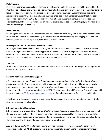### **Daily Cleaning**

In order to maintain a clean, safe environment all bathrooms on all school campuses will be cleaned hourly. Door handles and stair rails will also be cleaned hourly. Each school campus will be deep cleaned after scholars leave each day as well as days scholars are not on campus during the week. Building fogging, additional sanitizing and cleaning will also take place on the weekends, as needed. School campuses that have been exposed to a person with COVID-19 are subject to relocation on the school campus to fog, sanitize and disinfect thoroughly. Teachers will also be provided with sanitizing wipes or sanitizing spray to maintain clean classrooms throughout each day.

### **Deep Cleaning**

Sanitizing and cleaning for all classrooms and common areas will occur daily. However, where individuals are confirmed with COVID-19, deep cleaning will resume that includes disinfecting with fogging machines and sanitizing each area where a positive, confirmed case was reported.

### **Drinking Fountains - Water Bottle Hydration Stations**

Drinking fountains will remain off and water hydration stations have been installed so scholars can fill their bottles throughout the day. We are asking parents to have their scholars bring their own water bottles to school. To avoid cross-contamination, we request that elementary teachers write the scholars' names on the bottles and that secondary scholars write their names on their bottles.

### **Ventilation**

Manor ISD will have preventative maintenance schedules in place to allow for replacing filters to improve air quality according to HVAC standards.

### **Learning Platforms and Systems Support**

*It is our commitment that all scholars will have access to an appropriate device by the first day of school to provide access to ALL learning platforms.* All instructional staff and administrators will continue to receive professional development on remote learning platforms and systems, and on how to effectively switch between traditional and virtual learning for the 2021-22 school year. Helpful iTeach short "How to" videos will be posted on the [MISD Return to Learn support page](https://www.youtube.com/playlist?list=PLNChQlhMYeJ3aLbuEn-O4QF4L8HOpGHHB) to offer additional support for scholars and families.

Infrastructure systems are in place to provide security, access, and a safe environment to host innovative & rigorous instruction for all scholars.

### **Scholar Instructional Technology**

Scholars previously issued a District device (iPad/Chromebook/Laptop) are expected to bring that device fully charged and ready to begin the first day of instruction. It is the responsibility of the scholar and family to ensure that the device is in its proper position during transportation to and from the school as well as during the school day. The sharing of devices among scholars is prohibited.

A district device and/or MIFI(Internet Hotspots) will also be made available in the event a scholar must quarantine due to a COVID-19 exposure, thus allowing the scholar to continue to connect asynchronously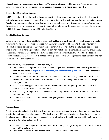through google classrooms and other Learning Management System (LMS) platforms. Please contact your school campus principal regarding potential needs and requests for a district device or MIFI.

# **Instructional Technology Support**

MISD Instructional Technology will train and support the school campus staff on how to assist scholars with retrieving passwords, accessing new software, and navigating the instructional learning systems and platforms. Teachers will support scholars in their classrooms to ensure all issues with devices are resolved. Technology issues that remain unresolved longer than 48 hours will be referred by the school principal or designee to the MISD Technology Department via MISD Help Desk Ticket.

# **Food & Nutrition Services**

All scholars in Manor ISD are eligible to receive free breakfast and lunch this school year. If school is in the full traditional mode, we will provide both breakfast and lunch but with additional attention to a new safety checklist and strict adherence to CDC recommendations which will include the use of gloves, optional face masks, and social distancing by staff. Food & Nutrition staff will also implement proper hand hygiene, cleaning & sanitizing kitchens as well as touched surfaces frequently. Customers & staff will maintain a 3-foot distance during meal service. Visual cues, such as tape on the ground or signs, will be placed to notify scholars and staff of where to stand during the process.

# *Additional safety measures that will occur on campus:*

- The Food Services Department will limit the handling of cash transactions and encourage all parents to submit funds online at <https://www.lunchmoneynow.com/lmnmnr/splash.php>. A la carte snack sales will be available in all schools.
- Cafeteria staff will check off the number of scholars that took a meal using a meal count form. The secondary schools will use markers to space out the scholars keeping them 3 feet apart as they go through the line.
- All waste will be bagged and placed outside the classroom door for pick up from the custodian for schools that offer breakfast in the classroom.
- Scholars will go through the lunch line while maintaining a distance of 3 feet from their peers at all elementary schools.
- Cafeterias will be practicing offer versus serve giving scholars the choice of entree and additional components.

### **Transportation**

The transportation plan for the district will operate the same as last year; however, there may be exceptions due to the multitude of scholar ridership. MISD will follow all TEA guidelines to include optional face masks, hand sanitizing, and bus ventilation as needed. These are briefly mentioned below and will be outlined in more detail as the start of school approaches.

- All drivers and passengers are not required to wear a mask, although it is optional for scholars to wear a mask if they chose to.
- Hand sanitizer will be mounted in the front of the bus for everyone to utilize.